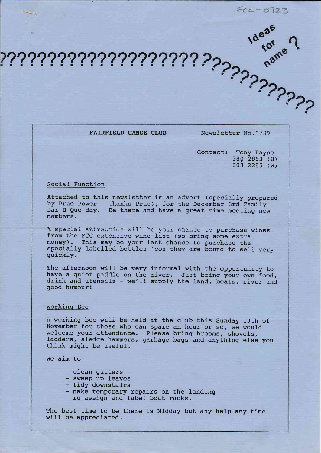$FCC - 0723$ 

FAIRFIELD CANOE CLUB

Newsletter No. 2/89

Contact: Tony Payne 380 2863 (H) 603 2285 (W)

### Social Function

Attached to this newsletter is an advert (specially prepared by Prue Power - thanks Prue), for the December 3rd Family Bar B Que day. Be there and have a great time meeting new members.

A special attraction will be your chance to purchase wines from the FCC extensive wine list (so bring some extra money). This may be your last chance to purchase the specially labelled bottles 'cos they are bound to sell very quickly.

The afternoon will be very informal with the opportunity to have a quiet paddle on the river. Just bring your own food,<br>drink and utensils - we'll supply the land, boats, river and good humour!

## Working Bee

A working bee will be held at the club this Sunday 19th of November for those who can spare an hour or so, we would welcome your attendance. Please bring brooms, shovels, ladders, sledge hammers, garbage bags and anything else you think might be useful.

We aim to  $-$ 

- clean gutters
- sweep up leaves
- tidy downstairs
- make temporary repairs on the landing
- re-assign and label boat racks.

The best time to be there is Midday but any help any time will be appreciated.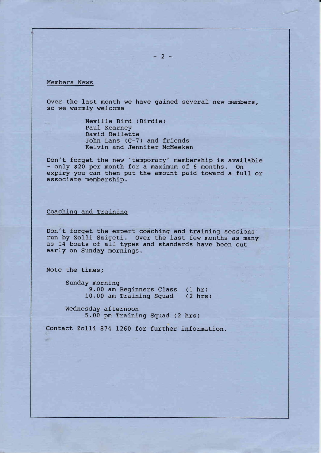### Members News

Over the last month we have gained several new members, so we warmly welcome

> Neville Bird (Birdie) Paul Kearney David Bellette John Lans (C-7) and friends Ke1vin and Jennifer McMeeken

Don't forget the new 'temporary' membership is available - only \$20 per month for a maximum of 6 months. On<br>expiry you can then put the amount paid toward a full or<br>associate membership.

## Coachinq and Training

Don't forget the expert coaching and training sessions run by Zolli Szigeti. Over the last few months as many as 14 boats of all types and standards have been out early on Sunday mornings.

Note the times;

Sunday morning 9.00 am Beginners Class (1 hr) 10.00 am Training Squad (2 hrs)

Wednesday afternoon 5.00 pm Training Squad (2 hrs)

Contact Zolli 874 1260 for further information.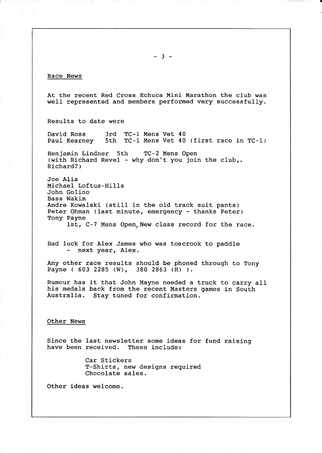### Race News

At the recent Red Cross Echuca Mini Marathon the club was well represented and members performed very successfully.

Results to date were

David Ross 3rd TC-1 Mens Vet 40<br>Paul Kearney 5th TC-1 Mens Vet 40 PC-1 Mens Vet 40 (first race in TC-1)

Benjamin Lindner 5th TC-2 Mens Open<br>(with Richard Revel - why don't you join the club,. Richard? )

Joe Alia Michael Loftus-Hills John Golino Bass Wakim Andre Kowalski (still in the old track suit pants) Peter Ohman (last minute, emergency - thanks Peter) Tony Payne 1st, C-7 Mens Open. New class record for the race.

Bad luck for Alex James who was toocrook to paddle next year, A1ex.

Any other race results should be phoned through to Tony Payne ( 603 2285 (W), 380 2863 (H) ).

Rumour has it that John Mayne needed a truck to carry all his medals back from the recent Masters games in South Australia. Stay tuned for confirmation.

#### Other News

Since the last newsletter some ideas for fund raising have been received. These include:

> Car Stickers<br>T-Shirts, new designs required Chocolate sales.

Other ideas welcome.